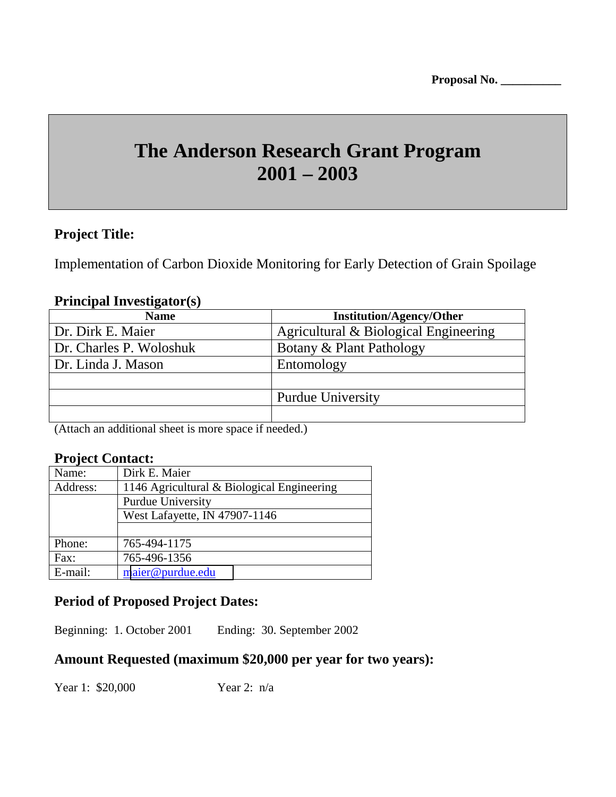# **The Anderson Research Grant Program 2001 – 2003**

# **Project Title:**

Implementation of Carbon Dioxide Monitoring for Early Detection of Grain Spoilage

### **Principal Investigator(s)**

| <b>Name</b>             | <b>Institution/Agency/Other</b>       |
|-------------------------|---------------------------------------|
| Dr. Dirk E. Maier       | Agricultural & Biological Engineering |
| Dr. Charles P. Woloshuk | Botany & Plant Pathology              |
| Dr. Linda J. Mason      | Entomology                            |
|                         |                                       |
|                         | <b>Purdue University</b>              |
|                         |                                       |

(Attach an additional sheet is more space if needed.)

# **Project Contact:**

| Name:    | Dirk E. Maier                              |
|----------|--------------------------------------------|
| Address: | 1146 Agricultural & Biological Engineering |
|          | Purdue University                          |
|          | West Lafayette, IN 47907-1146              |
|          |                                            |
| Phone:   | 765-494-1175                               |
| Fax:     | 765-496-1356                               |
| E-mail:  | maier@purdue.edu                           |

# **Period of Proposed Project Dates:**

Beginning: 1. October 2001 Ending: 30. September 2002

# **Amount Requested (maximum \$20,000 per year for two years):**

Year 1: \$20,000 Year 2: n/a